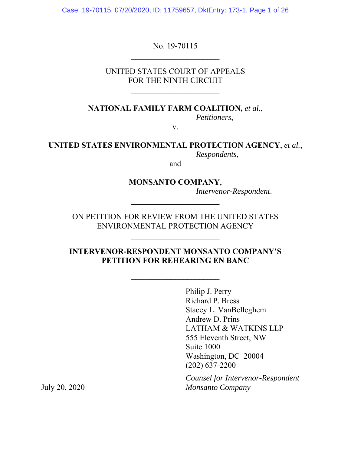Case: 19-70115, 07/20/2020, ID: 11759657, DktEntry: 173-1, Page 1 of 26

No. 19-70115

UNITED STATES COURT OF APPEALS FOR THE NINTH CIRCUIT

\_\_\_\_\_\_\_\_\_\_\_\_\_\_\_\_\_\_\_\_\_\_

**NATIONAL FAMILY FARM COALITION,** *et al.*,

*Petitioners*,

v.

#### **UNITED STATES ENVIRONMENTAL PROTECTION AGENCY**, *et al.*, *Respondents*,

and

### **MONSANTO COMPANY**,

**\_\_\_\_\_\_\_\_\_\_\_\_\_\_\_\_\_\_\_\_\_\_** 

*Intervenor-Respondent*.

ON PETITION FOR REVIEW FROM THE UNITED STATES ENVIRONMENTAL PROTECTION AGENCY

**\_\_\_\_\_\_\_\_\_\_\_\_\_\_\_\_\_\_\_\_\_\_** 

### **INTERVENOR-RESPONDENT MONSANTO COMPANY'S PETITION FOR REHEARING EN BANC**

**\_\_\_\_\_\_\_\_\_\_\_\_\_\_\_\_\_\_\_\_\_\_** 

Philip J. Perry Richard P. Bress Stacey L. VanBelleghem Andrew D. Prins LATHAM & WATKINS LLP 555 Eleventh Street, NW Suite 1000 Washington, DC 20004 (202) 637-2200

*Counsel for Intervenor-Respondent* July 20, 2020 *Monsanto Company*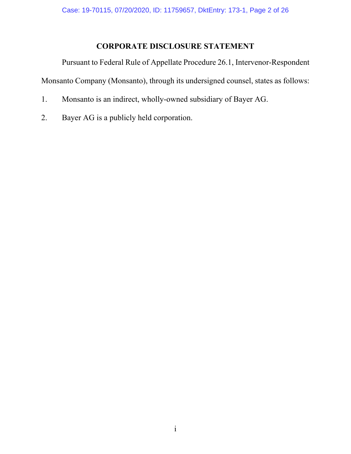# **CORPORATE DISCLOSURE STATEMENT**

Pursuant to Federal Rule of Appellate Procedure 26.1, Intervenor-Respondent Monsanto Company (Monsanto), through its undersigned counsel, states as follows:

- 1. Monsanto is an indirect, wholly-owned subsidiary of Bayer AG.
- 2. Bayer AG is a publicly held corporation.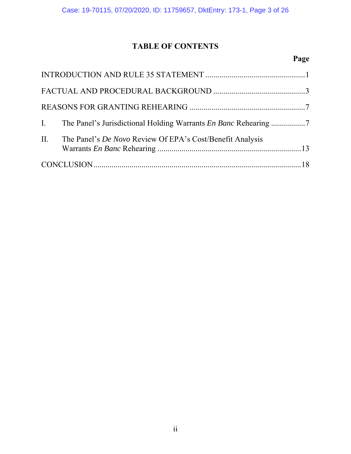# **TABLE OF CONTENTS**

# **Page**

| II. The Panel's De Novo Review Of EPA's Cost/Benefit Analysis |
|---------------------------------------------------------------|
|                                                               |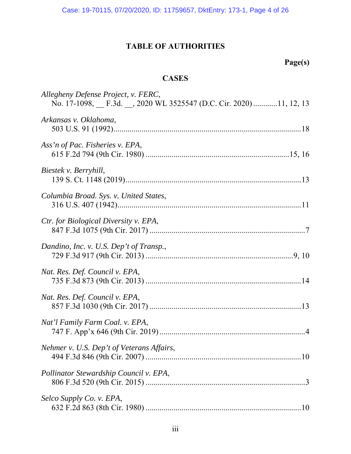Case: 19-70115, 07/20/2020, ID: 11759657, DktEntry: 173-1, Page 4 of 26

# **TABLE OF AUTHORITIES**

# **Page(s)**

# **CASES**

| Allegheny Defense Project, v. FERC,<br>No. 17-1098, F.3d., 2020 WL 3525547 (D.C. Cir. 2020)11, 12, 13 |
|-------------------------------------------------------------------------------------------------------|
| Arkansas v. Oklahoma,                                                                                 |
| Ass'n of Pac. Fisheries v. EPA,                                                                       |
| Biestek v. Berryhill,                                                                                 |
| Columbia Broad. Sys. v. United States,                                                                |
| <i>Ctr. for Biological Diversity v. EPA,</i>                                                          |
| Dandino, Inc. v. U.S. Dep't of Transp.,                                                               |
| Nat. Res. Def. Council v. EPA,                                                                        |
| Nat. Res. Def. Council v. EPA,                                                                        |
| Nat'l Family Farm Coal. v. EPA,                                                                       |
| Nehmer v. U.S. Dep't of Veterans Affairs,                                                             |
| Pollinator Stewardship Council v. EPA,                                                                |
| Selco Supply Co. v. EPA,                                                                              |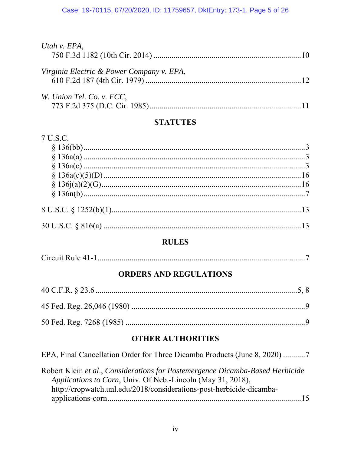| Utah v. EPA,                              |  |
|-------------------------------------------|--|
| Virginia Electric & Power Company v. EPA, |  |
| W. Union Tel. Co. v. FCC,                 |  |

# **STATUTES**

### 7 U.S.C.

### **RULES**

| Circuit Rule 41 |
|-----------------|
|-----------------|

## **ORDERS AND REGULATIONS**

## **OTHER AUTHORITIES**

EPA, Final Cancellation Order for Three Dicamba Products (June 8, 2020) ...........7

Robert Klein et al., Considerations for Postemergence Dicamba-Based Herbicide Applications to Corn, Univ. Of Neb.-Lincoln (May 31, 2018), http://cropwatch.unl.edu/2018/considerations-post-herbicide-dicamba-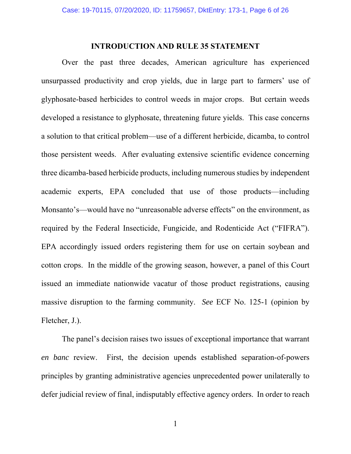#### **INTRODUCTION AND RULE 35 STATEMENT**

Over the past three decades, American agriculture has experienced unsurpassed productivity and crop yields, due in large part to farmers' use of glyphosate-based herbicides to control weeds in major crops. But certain weeds developed a resistance to glyphosate, threatening future yields. This case concerns a solution to that critical problem—use of a different herbicide, dicamba, to control those persistent weeds. After evaluating extensive scientific evidence concerning three dicamba-based herbicide products, including numerous studies by independent academic experts, EPA concluded that use of those products—including Monsanto's—would have no "unreasonable adverse effects" on the environment, as required by the Federal Insecticide, Fungicide, and Rodenticide Act ("FIFRA"). EPA accordingly issued orders registering them for use on certain soybean and cotton crops. In the middle of the growing season, however, a panel of this Court issued an immediate nationwide vacatur of those product registrations, causing massive disruption to the farming community. *See* ECF No. 125-1 (opinion by Fletcher, J.).

The panel's decision raises two issues of exceptional importance that warrant *en banc* review. First, the decision upends established separation-of-powers principles by granting administrative agencies unprecedented power unilaterally to defer judicial review of final, indisputably effective agency orders. In order to reach

1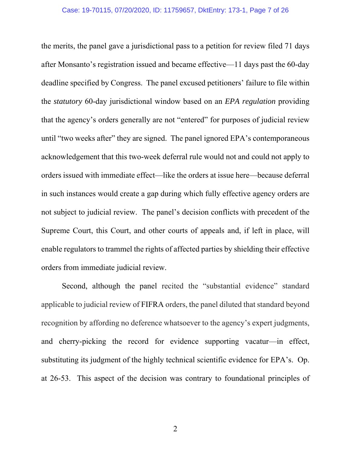the merits, the panel gave a jurisdictional pass to a petition for review filed 71 days after Monsanto's registration issued and became effective—11 days past the 60-day deadline specified by Congress. The panel excused petitioners' failure to file within the *statutory* 60-day jurisdictional window based on an *EPA regulation* providing that the agency's orders generally are not "entered" for purposes of judicial review until "two weeks after" they are signed. The panel ignored EPA's contemporaneous acknowledgement that this two-week deferral rule would not and could not apply to orders issued with immediate effect—like the orders at issue here—because deferral in such instances would create a gap during which fully effective agency orders are not subject to judicial review. The panel's decision conflicts with precedent of the Supreme Court, this Court, and other courts of appeals and, if left in place, will enable regulators to trammel the rights of affected parties by shielding their effective orders from immediate judicial review.

Second, although the panel recited the "substantial evidence" standard applicable to judicial review of FIFRA orders, the panel diluted that standard beyond recognition by affording no deference whatsoever to the agency's expert judgments, and cherry-picking the record for evidence supporting vacatur—in effect, substituting its judgment of the highly technical scientific evidence for EPA's. Op. at 26-53. This aspect of the decision was contrary to foundational principles of

2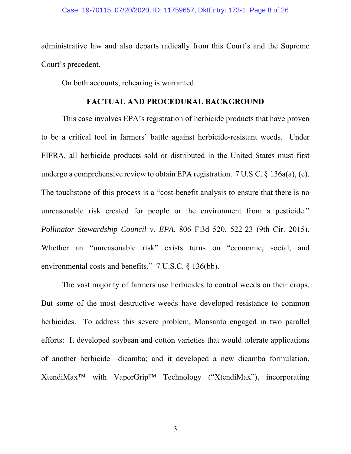administrative law and also departs radically from this Court's and the Supreme Court's precedent.

On both accounts, rehearing is warranted.

#### **FACTUAL AND PROCEDURAL BACKGROUND**

This case involves EPA's registration of herbicide products that have proven to be a critical tool in farmers' battle against herbicide-resistant weeds. Under FIFRA, all herbicide products sold or distributed in the United States must first undergo a comprehensive review to obtain EPA registration. 7 U.S.C. § 136a(a), (c). The touchstone of this process is a "cost-benefit analysis to ensure that there is no unreasonable risk created for people or the environment from a pesticide." *Pollinator Stewardship Council v. EPA*, 806 F.3d 520, 522-23 (9th Cir. 2015). Whether an "unreasonable risk" exists turns on "economic, social, and environmental costs and benefits." 7 U.S.C. § 136(bb).

The vast majority of farmers use herbicides to control weeds on their crops. But some of the most destructive weeds have developed resistance to common herbicides. To address this severe problem, Monsanto engaged in two parallel efforts: It developed soybean and cotton varieties that would tolerate applications of another herbicide—dicamba; and it developed a new dicamba formulation, XtendiMax™ with VaporGrip™ Technology ("XtendiMax"), incorporating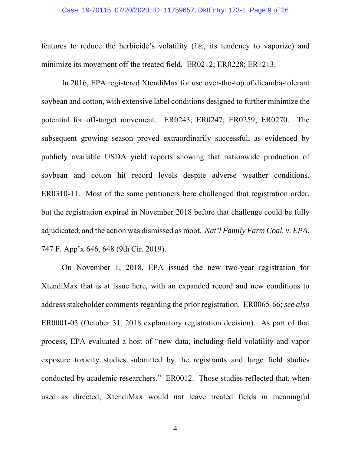#### Case: 19-70115, 07/20/2020, ID: 11759657, DktEntry: 173-1, Page 9 of 26

features to reduce the herbicide's volatility (*i.e.*, its tendency to vaporize) and minimize its movement off the treated field. ER0212; ER0228; ER1213.

In 2016, EPA registered XtendiMax for use over-the-top of dicamba-tolerant soybean and cotton, with extensive label conditions designed to further minimize the potential for off-target movement. ER0243; ER0247; ER0259; ER0270. The subsequent growing season proved extraordinarily successful, as evidenced by publicly available USDA yield reports showing that nationwide production of soybean and cotton hit record levels despite adverse weather conditions. ER0310-11. Most of the same petitioners here challenged that registration order, but the registration expired in November 2018 before that challenge could be fully adjudicated, and the action was dismissed as moot. *Nat'l Family Farm Coal. v. EPA*, 747 F. App'x 646, 648 (9th Cir. 2019).

On November 1, 2018, EPA issued the new two-year registration for XtendiMax that is at issue here, with an expanded record and new conditions to address stakeholder comments regarding the prior registration. ER0065-66; *see also*  ER0001-03 (October 31, 2018 explanatory registration decision). As part of that process, EPA evaluated a host of "new data, including field volatility and vapor exposure toxicity studies submitted by the registrants and large field studies conducted by academic researchers." ER0012. Those studies reflected that, when used as directed, XtendiMax would *not* leave treated fields in meaningful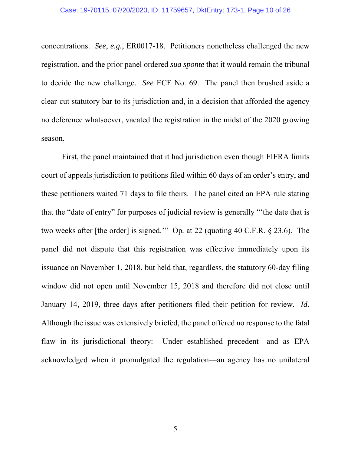concentrations. *See*, *e.g.*, ER0017-18. Petitioners nonetheless challenged the new registration, and the prior panel ordered *sua sponte* that it would remain the tribunal to decide the new challenge. *See* ECF No. 69. The panel then brushed aside a clear-cut statutory bar to its jurisdiction and, in a decision that afforded the agency no deference whatsoever, vacated the registration in the midst of the 2020 growing season.

First, the panel maintained that it had jurisdiction even though FIFRA limits court of appeals jurisdiction to petitions filed within 60 days of an order's entry, and these petitioners waited 71 days to file theirs. The panel cited an EPA rule stating that the "date of entry" for purposes of judicial review is generally "'the date that is two weeks after [the order] is signed.'" Op*.* at 22 (quoting 40 C.F.R. § 23.6). The panel did not dispute that this registration was effective immediately upon its issuance on November 1, 2018, but held that, regardless, the statutory 60-day filing window did not open until November 15, 2018 and therefore did not close until January 14, 2019, three days after petitioners filed their petition for review. *Id*. Although the issue was extensively briefed, the panel offered no response to the fatal flaw in its jurisdictional theory: Under established precedent—and as EPA acknowledged when it promulgated the regulation—an agency has no unilateral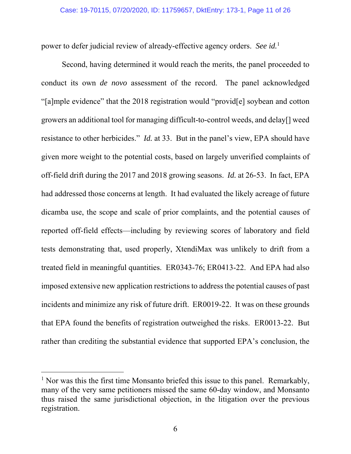power to defer judicial review of already-effective agency orders. *See id.*<sup>1</sup>

Second, having determined it would reach the merits, the panel proceeded to conduct its own *de novo* assessment of the record. The panel acknowledged "[a]mple evidence" that the 2018 registration would "provid[e] soybean and cotton growers an additional tool for managing difficult-to-control weeds, and delay[] weed resistance to other herbicides." *Id.* at 33. But in the panel's view, EPA should have given more weight to the potential costs, based on largely unverified complaints of off-field drift during the 2017 and 2018 growing seasons. *Id.* at 26-53. In fact, EPA had addressed those concerns at length. It had evaluated the likely acreage of future dicamba use, the scope and scale of prior complaints, and the potential causes of reported off-field effects—including by reviewing scores of laboratory and field tests demonstrating that, used properly, XtendiMax was unlikely to drift from a treated field in meaningful quantities. ER0343-76; ER0413-22. And EPA had also imposed extensive new application restrictions to address the potential causes of past incidents and minimize any risk of future drift. ER0019-22. It was on these grounds that EPA found the benefits of registration outweighed the risks. ER0013-22. But rather than crediting the substantial evidence that supported EPA's conclusion, the

-

<sup>&</sup>lt;sup>1</sup> Nor was this the first time Monsanto briefed this issue to this panel. Remarkably, many of the very same petitioners missed the same 60-day window, and Monsanto thus raised the same jurisdictional objection, in the litigation over the previous registration.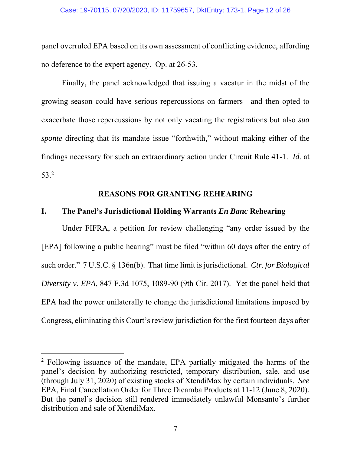panel overruled EPA based on its own assessment of conflicting evidence, affording no deference to the expert agency. Op. at 26-53*.*

Finally, the panel acknowledged that issuing a vacatur in the midst of the growing season could have serious repercussions on farmers—and then opted to exacerbate those repercussions by not only vacating the registrations but also *sua sponte* directing that its mandate issue "forthwith," without making either of the findings necessary for such an extraordinary action under Circuit Rule 41-1. *Id.* at 53.2

## **REASONS FOR GRANTING REHEARING**

#### **I. The Panel's Jurisdictional Holding Warrants** *En Banc* **Rehearing**

 Under FIFRA, a petition for review challenging "any order issued by the [EPA] following a public hearing" must be filed "within 60 days after the entry of such order." 7 U.S.C. § 136n(b). That time limit is jurisdictional. *Ctr. for Biological Diversity v. EPA*, 847 F.3d 1075, 1089-90 (9th Cir. 2017). Yet the panel held that EPA had the power unilaterally to change the jurisdictional limitations imposed by Congress, eliminating this Court's review jurisdiction for the first fourteen days after

 $\overline{a}$ 

<sup>&</sup>lt;sup>2</sup> Following issuance of the mandate, EPA partially mitigated the harms of the panel's decision by authorizing restricted, temporary distribution, sale, and use (through July 31, 2020) of existing stocks of XtendiMax by certain individuals. *See*  EPA, Final Cancellation Order for Three Dicamba Products at 11-12 (June 8, 2020)*.* But the panel's decision still rendered immediately unlawful Monsanto's further distribution and sale of XtendiMax.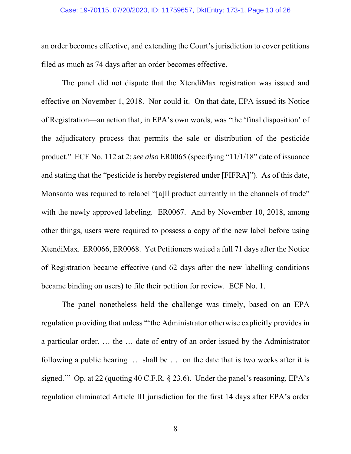#### Case: 19-70115, 07/20/2020, ID: 11759657, DktEntry: 173-1, Page 13 of 26

an order becomes effective, and extending the Court's jurisdiction to cover petitions filed as much as 74 days after an order becomes effective.

 The panel did not dispute that the XtendiMax registration was issued and effective on November 1, 2018. Nor could it. On that date, EPA issued its Notice of Registration—an action that, in EPA's own words, was "the 'final disposition' of the adjudicatory process that permits the sale or distribution of the pesticide product." ECF No. 112 at 2; *see also* ER0065 (specifying "11/1/18" date of issuance and stating that the "pesticide is hereby registered under [FIFRA]"). As of this date, Monsanto was required to relabel "[a]ll product currently in the channels of trade" with the newly approved labeling. ER0067. And by November 10, 2018, among other things, users were required to possess a copy of the new label before using XtendiMax. ER0066, ER0068. Yet Petitioners waited a full 71 days after the Notice of Registration became effective (and 62 days after the new labelling conditions became binding on users) to file their petition for review. ECF No. 1.

 The panel nonetheless held the challenge was timely, based on an EPA regulation providing that unless "'the Administrator otherwise explicitly provides in a particular order, … the … date of entry of an order issued by the Administrator following a public hearing … shall be … on the date that is two weeks after it is signed.'" Op. at 22 (quoting 40 C.F.R. § 23.6). Under the panel's reasoning, EPA's regulation eliminated Article III jurisdiction for the first 14 days after EPA's order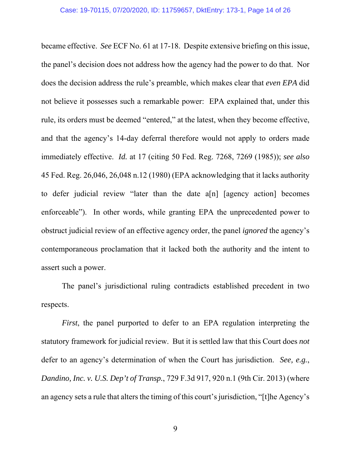became effective. *See* ECF No. 61 at 17-18. Despite extensive briefing on this issue, the panel's decision does not address how the agency had the power to do that. Nor does the decision address the rule's preamble, which makes clear that *even EPA* did not believe it possesses such a remarkable power: EPA explained that, under this rule, its orders must be deemed "entered," at the latest, when they become effective, and that the agency's 14-day deferral therefore would not apply to orders made immediately effective. *Id.* at 17 (citing 50 Fed. Reg. 7268, 7269 (1985)); *see also*  45 Fed. Reg. 26,046, 26,048 n.12 (1980) (EPA acknowledging that it lacks authority to defer judicial review "later than the date a[n] [agency action] becomes enforceable"). In other words, while granting EPA the unprecedented power to obstruct judicial review of an effective agency order, the panel *ignored* the agency's contemporaneous proclamation that it lacked both the authority and the intent to assert such a power.

 The panel's jurisdictional ruling contradicts established precedent in two respects.

*First*, the panel purported to defer to an EPA regulation interpreting the statutory framework for judicial review. But it is settled law that this Court does *not* defer to an agency's determination of when the Court has jurisdiction. *See, e.g.*, *Dandino, Inc. v. U.S. Dep't of Transp.*, 729 F.3d 917, 920 n.1 (9th Cir. 2013) (where an agency sets a rule that alters the timing of this court's jurisdiction, "[t]he Agency's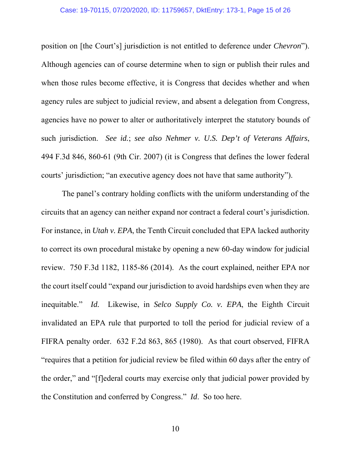position on [the Court's] jurisdiction is not entitled to deference under *Chevron*"). Although agencies can of course determine when to sign or publish their rules and when those rules become effective, it is Congress that decides whether and when agency rules are subject to judicial review, and absent a delegation from Congress, agencies have no power to alter or authoritatively interpret the statutory bounds of such jurisdiction. *See id.*; *see also Nehmer v. U.S. Dep't of Veterans Affairs*, 494 F.3d 846, 860-61 (9th Cir. 2007) (it is Congress that defines the lower federal courts' jurisdiction; "an executive agency does not have that same authority").

 The panel's contrary holding conflicts with the uniform understanding of the circuits that an agency can neither expand nor contract a federal court's jurisdiction. For instance, in *Utah v. EPA*, the Tenth Circuit concluded that EPA lacked authority to correct its own procedural mistake by opening a new 60-day window for judicial review. 750 F.3d 1182, 1185-86 (2014). As the court explained, neither EPA nor the court itself could "expand our jurisdiction to avoid hardships even when they are inequitable." *Id.* Likewise, in *Selco Supply Co. v. EPA*, the Eighth Circuit invalidated an EPA rule that purported to toll the period for judicial review of a FIFRA penalty order. 632 F.2d 863, 865 (1980). As that court observed, FIFRA "requires that a petition for judicial review be filed within 60 days after the entry of the order," and "[f]ederal courts may exercise only that judicial power provided by the Constitution and conferred by Congress." *Id*. So too here.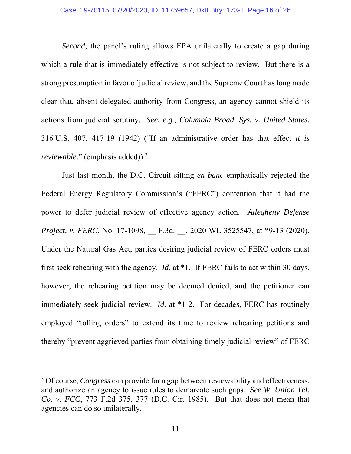*Second*, the panel's ruling allows EPA unilaterally to create a gap during which a rule that is immediately effective is not subject to review. But there is a strong presumption in favor of judicial review, and the Supreme Court has long made clear that, absent delegated authority from Congress, an agency cannot shield its actions from judicial scrutiny. *See, e.g.*, *Columbia Broad. Sys. v. United States*, 316 U.S. 407, 417-19 (1942) ("If an administrative order has that effect *it is reviewable.*" (emphasis added)).<sup>3</sup>

 Just last month, the D.C. Circuit sitting *en banc* emphatically rejected the Federal Energy Regulatory Commission's ("FERC") contention that it had the power to defer judicial review of effective agency action. *Allegheny Defense Project, v. FERC*, No. 17-1098, *\_\_ F.3d. \_\_, 2020 WL 3525547*, at \*9-13 (2020). Under the Natural Gas Act, parties desiring judicial review of FERC orders must first seek rehearing with the agency. *Id.* at \*1. If FERC fails to act within 30 days, however, the rehearing petition may be deemed denied, and the petitioner can immediately seek judicial review. *Id.* at \*1-2. For decades, FERC has routinely employed "tolling orders" to extend its time to review rehearing petitions and thereby "prevent aggrieved parties from obtaining timely judicial review" of FERC

-

<sup>&</sup>lt;sup>3</sup> Of course, *Congress* can provide for a gap between reviewability and effectiveness, and authorize an agency to issue rules to demarcate such gaps. *See W. Union Tel. Co. v. FCC*, 773 F.2d 375, 377 (D.C. Cir. 1985). But that does not mean that agencies can do so unilaterally.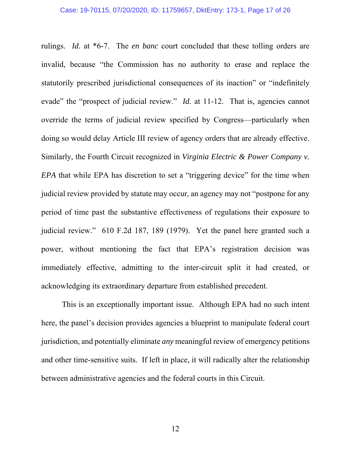rulings. *Id.* at \*6-7. The *en banc* court concluded that these tolling orders are invalid, because "the Commission has no authority to erase and replace the statutorily prescribed jurisdictional consequences of its inaction" or "indefinitely evade" the "prospect of judicial review." *Id.* at 11-12. That is, agencies cannot override the terms of judicial review specified by Congress—particularly when doing so would delay Article III review of agency orders that are already effective. Similarly, the Fourth Circuit recognized in *Virginia Electric & Power Company v. EPA* that while EPA has discretion to set a "triggering device" for the time when judicial review provided by statute may occur, an agency may not "postpone for any period of time past the substantive effectiveness of regulations their exposure to judicial review."610 F.2d 187, 189 (1979). Yet the panel here granted such a power, without mentioning the fact that EPA's registration decision was immediately effective, admitting to the inter-circuit split it had created, or acknowledging its extraordinary departure from established precedent.

This is an exceptionally important issue. Although EPA had no such intent here, the panel's decision provides agencies a blueprint to manipulate federal court jurisdiction, and potentially eliminate *any* meaningful review of emergency petitions and other time-sensitive suits. If left in place, it will radically alter the relationship between administrative agencies and the federal courts in this Circuit.

12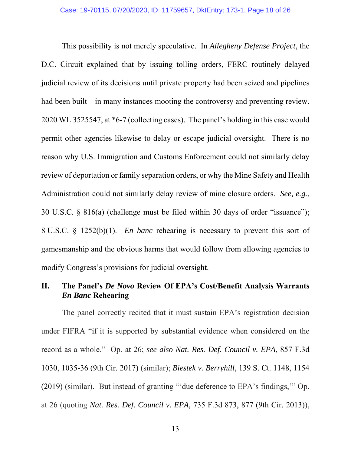This possibility is not merely speculative. In *Allegheny Defense Project*, the D.C. Circuit explained that by issuing tolling orders, FERC routinely delayed judicial review of its decisions until private property had been seized and pipelines had been built—in many instances mooting the controversy and preventing review. 2020 WL 3525547, at \*6-7 (collecting cases). The panel's holding in this case would permit other agencies likewise to delay or escape judicial oversight. There is no reason why U.S. Immigration and Customs Enforcement could not similarly delay review of deportation or family separation orders, or why the Mine Safety and Health Administration could not similarly delay review of mine closure orders. *See, e.g.*, 30 U.S.C. § 816(a) (challenge must be filed within 30 days of order "issuance"); 8 U.S.C. § 1252(b)(1). *En banc* rehearing is necessary to prevent this sort of gamesmanship and the obvious harms that would follow from allowing agencies to modify Congress's provisions for judicial oversight.

### **II. The Panel's** *De Novo* **Review Of EPA's Cost/Benefit Analysis Warrants**  *En Banc* **Rehearing**

The panel correctly recited that it must sustain EPA's registration decision under FIFRA "if it is supported by substantial evidence when considered on the record as a whole." Op. at 26; *see also Nat. Res. Def. Council v. EPA*, 857 F.3d 1030, 1035-36 (9th Cir. 2017) (similar); *Biestek v. Berryhill*, 139 S. Ct. 1148, 1154 (2019) (similar). But instead of granting "'due deference to EPA's findings,'" Op. at 26 (quoting *Nat. Res. Def. Council v. EPA*, 735 F.3d 873, 877 (9th Cir. 2013)),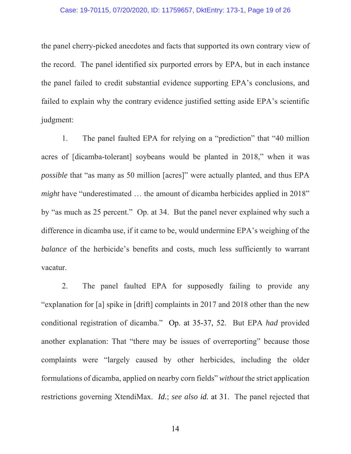#### Case: 19-70115, 07/20/2020, ID: 11759657, DktEntry: 173-1, Page 19 of 26

the panel cherry-picked anecdotes and facts that supported its own contrary view of the record. The panel identified six purported errors by EPA, but in each instance the panel failed to credit substantial evidence supporting EPA's conclusions, and failed to explain why the contrary evidence justified setting aside EPA's scientific judgment:

1. The panel faulted EPA for relying on a "prediction" that "40 million acres of [dicamba-tolerant] soybeans would be planted in 2018," when it was *possible* that "as many as 50 million [acres]" were actually planted, and thus EPA *might* have "underestimated ... the amount of dicamba herbicides applied in 2018" by "as much as 25 percent." Op. at 34. But the panel never explained why such a difference in dicamba use, if it came to be, would undermine EPA's weighing of the *balance* of the herbicide's benefits and costs, much less sufficiently to warrant vacatur.

2. The panel faulted EPA for supposedly failing to provide any "explanation for [a] spike in [drift] complaints in 2017 and 2018 other than the new conditional registration of dicamba." Op. at 35-37, 52. But EPA *had* provided another explanation: That "there may be issues of overreporting" because those complaints were "largely caused by other herbicides, including the older formulations of dicamba, applied on nearby corn fields" *without* the strict application restrictions governing XtendiMax. *Id.*; *see also id.* at 31. The panel rejected that

14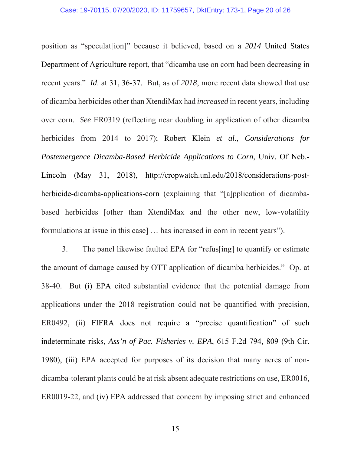position as "speculat[ion]" because it believed, based on a *2014* United States Department of Agriculture report, that "dicamba use on corn had been decreasing in recent years." *Id*. at 31, 36-37. But, as of *2018*, more recent data showed that use of dicamba herbicides other than XtendiMax had *increased* in recent years, including over corn. *See* ER0319 (reflecting near doubling in application of other dicamba herbicides from 2014 to 2017); Robert Klein *et al*., *Considerations for Postemergence Dicamba-Based Herbicide Applications to Corn*, Univ. Of Neb.- Lincoln (May 31, 2018), http://cropwatch.unl.edu/2018/considerations-postherbicide-dicamba-applications-corn (explaining that "[a]pplication of dicambabased herbicides [other than XtendiMax and the other new, low-volatility formulations at issue in this case] … has increased in corn in recent years").

3. The panel likewise faulted EPA for "refus[ing] to quantify or estimate the amount of damage caused by OTT application of dicamba herbicides." Op. at 38-40. But (i) EPA cited substantial evidence that the potential damage from applications under the 2018 registration could not be quantified with precision, ER0492, (ii) FIFRA does not require a "precise quantification" of such indeterminate risks, *Ass'n of Pac. Fisheries v. EPA*, 615 F.2d 794, 809 (9th Cir. 1980), (iii) EPA accepted for purposes of its decision that many acres of nondicamba-tolerant plants could be at risk absent adequate restrictions on use, ER0016, ER0019-22, and (iv) EPA addressed that concern by imposing strict and enhanced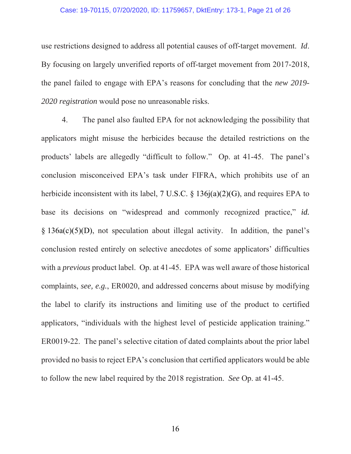#### Case: 19-70115, 07/20/2020, ID: 11759657, DktEntry: 173-1, Page 21 of 26

use restrictions designed to address all potential causes of off-target movement. *Id*. By focusing on largely unverified reports of off-target movement from 2017-2018, the panel failed to engage with EPA's reasons for concluding that the *new 2019- 2020 registration* would pose no unreasonable risks.

4. The panel also faulted EPA for not acknowledging the possibility that applicators might misuse the herbicides because the detailed restrictions on the products' labels are allegedly "difficult to follow." Op. at 41-45. The panel's conclusion misconceived EPA's task under FIFRA, which prohibits use of an herbicide inconsistent with its label, 7 U.S.C. § 136j(a)(2)(G), and requires EPA to base its decisions on "widespread and commonly recognized practice," *id.*  § 136a(c)(5)(D), not speculation about illegal activity. In addition, the panel's conclusion rested entirely on selective anecdotes of some applicators' difficulties with a *previous* product label. Op. at 41-45. EPA was well aware of those historical complaints, *see, e.g.*, ER0020, and addressed concerns about misuse by modifying the label to clarify its instructions and limiting use of the product to certified applicators, "individuals with the highest level of pesticide application training." ER0019-22. The panel's selective citation of dated complaints about the prior label provided no basis to reject EPA's conclusion that certified applicators would be able to follow the new label required by the 2018 registration. *See* Op. at 41-45.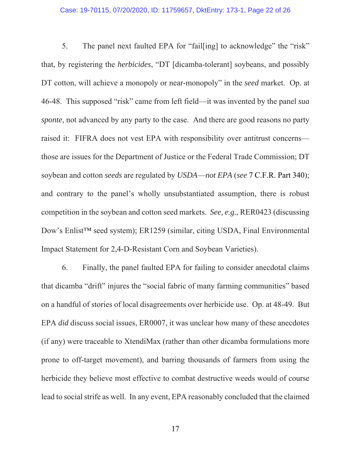#### Case: 19-70115, 07/20/2020, ID: 11759657, DktEntry: 173-1, Page 22 of 26

5. The panel next faulted EPA for "fail[ing] to acknowledge" the "risk" that, by registering the *herbicides*, "DT [dicamba-tolerant] soybeans, and possibly DT cotton, will achieve a monopoly or near-monopoly" in the *seed* market. Op. at 46-48. This supposed "risk" came from left field—it was invented by the panel *sua sponte*, not advanced by any party to the case. And there are good reasons no party raised it: FIFRA does not vest EPA with responsibility over antitrust concerns those are issues for the Department of Justice or the Federal Trade Commission; DT soybean and cotton *seeds* are regulated by *USDA*—*not EPA* (*see* 7 C.F.R. Part 340); and contrary to the panel's wholly unsubstantiated assumption, there is robust competition in the soybean and cotton seed markets. *See, e.g.*, RER0423 (discussing Dow's Enlist™ seed system); ER1259 (similar, citing USDA, Final Environmental Impact Statement for 2,4-D-Resistant Corn and Soybean Varieties).

6. Finally, the panel faulted EPA for failing to consider anecdotal claims that dicamba "drift" injures the "social fabric of many farming communities" based on a handful of stories of local disagreements over herbicide use. Op. at 48-49. But EPA *did* discuss social issues, ER0007, it was unclear how many of these anecdotes (if any) were traceable to XtendiMax (rather than other dicamba formulations more prone to off-target movement), and barring thousands of farmers from using the herbicide they believe most effective to combat destructive weeds would of course lead to social strife as well. In any event, EPA reasonably concluded that the claimed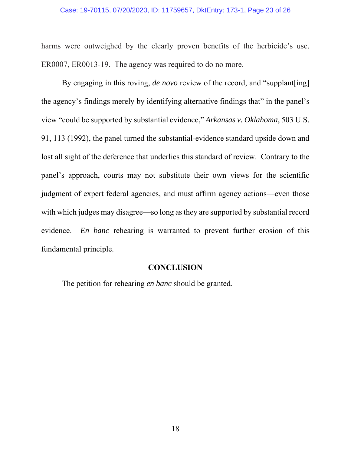#### Case: 19-70115, 07/20/2020, ID: 11759657, DktEntry: 173-1, Page 23 of 26

harms were outweighed by the clearly proven benefits of the herbicide's use. ER0007, ER0013-19. The agency was required to do no more.

By engaging in this roving, *de novo* review of the record, and "supplant [ing] the agency's findings merely by identifying alternative findings that" in the panel's view "could be supported by substantial evidence," *Arkansas v. Oklahoma*, 503 U.S. 91, 113 (1992), the panel turned the substantial-evidence standard upside down and lost all sight of the deference that underlies this standard of review. Contrary to the panel's approach, courts may not substitute their own views for the scientific judgment of expert federal agencies, and must affirm agency actions—even those with which judges may disagree—so long as they are supported by substantial record evidence. *En banc* rehearing is warranted to prevent further erosion of this fundamental principle.

#### **CONCLUSION**

The petition for rehearing *en banc* should be granted.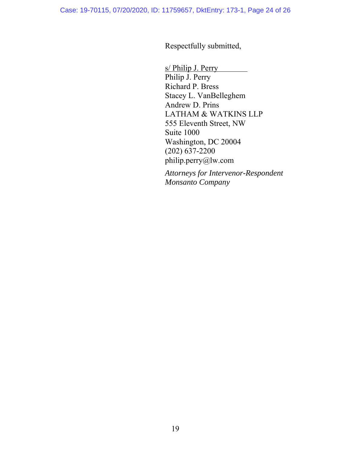Respectfully submitted,

s/ Philip J. Perry Philip J. Perry Richard P. Bress Stacey L. VanBelleghem Andrew D. Prins LATHAM & WATKINS LLP 555 Eleventh Street, NW Suite 1000 Washington, DC 20004 (202) 637-2200 philip.perry@lw.com

*Attorneys for Intervenor-Respondent Monsanto Company*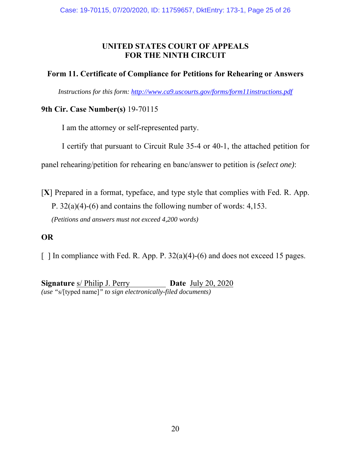## **UNITED STATES COURT OF APPEALS FOR THE NINTH CIRCUIT**

### **Form 11. Certificate of Compliance for Petitions for Rehearing or Answers**

*Instructions for this form: http://www.ca9.uscourts.gov/forms/form11instructions.pdf* 

### **9th Cir. Case Number(s)** 19-70115

I am the attorney or self-represented party.

I certify that pursuant to Circuit Rule 35-4 or 40-1, the attached petition for

panel rehearing/petition for rehearing en banc/answer to petition is *(select one)*:

[**X**] Prepared in a format, typeface, and type style that complies with Fed. R. App. P. 32(a)(4)-(6) and contains the following number of words: 4,153. *(Petitions and answers must not exceed 4,200 words)*

## **OR**

 $\lceil$  1 In compliance with Fed. R. App. P. 32(a)(4)-(6) and does not exceed 15 pages.

**Signature** s/ Philip J. Perry **Date** July 20, 2020 *(use "*s/[typed name]*" to sign electronically-filed documents)*